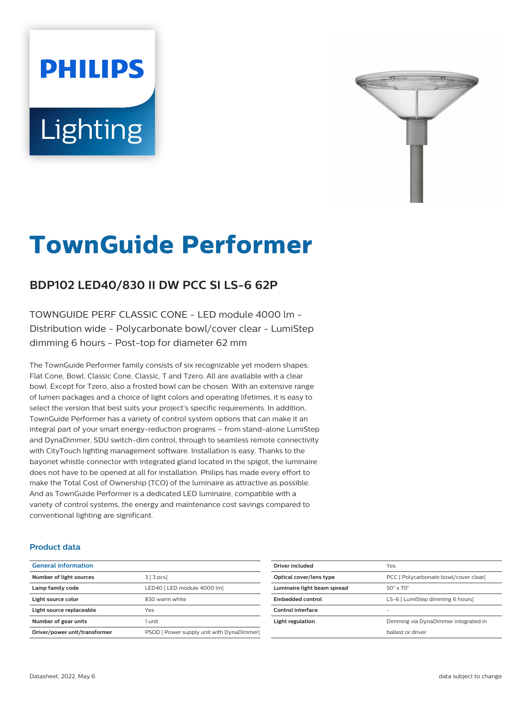# **PHILIPS Lighting**



# **TownGuide Performer**

# **BDP102 LED40/830 II DW PCC SI LS-6 62P**

TOWNGUIDE PERF CLASSIC CONE - LED module 4000 lm - Distribution wide - Polycarbonate bowl/cover clear - LumiStep dimming 6 hours - Post-top for diameter 62 mm

The TownGuide Performer family consists of six recognizable yet modern shapes: Flat Cone, Bowl, Classic Cone, Classic, T and Tzero. All are available with a clear bowl. Except for Tzero, also a frosted bowl can be chosen. With an extensive range of lumen packages and a choice of light colors and operating lifetimes, it is easy to select the version that best suits your project's specific requirements. In addition, TownGuide Performer has a variety of control system options that can make it an integral part of your smart energy-reduction programs – from stand-alone LumiStep and DynaDimmer, SDU switch-dim control, through to seamless remote connectivity with CityTouch lighting management software. Installation is easy. Thanks to the bayonet whistle connector with integrated gland located in the spigot, the luminaire does not have to be opened at all for installation. Philips has made every effort to make the Total Cost of Ownership (TCO) of the luminaire as attractive as possible. And as TownGuide Performer is a dedicated LED luminaire, compatible with a variety of control systems, the energy and maintenance cost savings compared to conventional lighting are significant.

### **Product data**

| <b>General information</b>    |                                           |
|-------------------------------|-------------------------------------------|
| Number of light sources       | $3 \mid 3 \text{ pcs}$                    |
| Lamp family code              | LED40   LED module 4000 lm]               |
| Light source color            | 830 warm white                            |
| Light source replaceable      | Yes                                       |
| Number of gear units          | 1 unit                                    |
| Driver/power unit/transformer | PSDD [ Power supply unit with DynaDimmer] |

| Driver included             | Yes                                   |
|-----------------------------|---------------------------------------|
| Optical cover/lens type     | PCC [ Polycarbonate bowl/cover clear] |
| Luminaire light beam spread | $50^\circ \times 70^\circ$            |
| Embedded control            | LS-6 [ LumiStep dimming 6 hours]      |
| Control interface           |                                       |
| Light regulation            | Dimming via DynaDimmer integrated in  |
|                             | hallast or driver                     |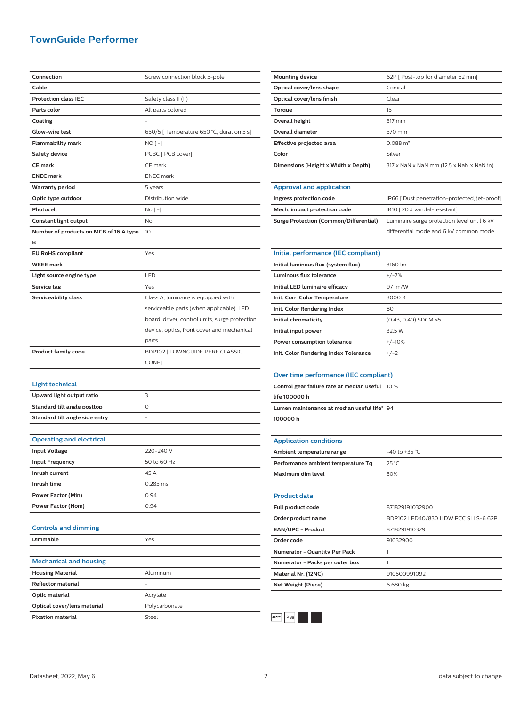## **TownGuide Performer**

| Connection                             | Screw connection block 5-pole                  |
|----------------------------------------|------------------------------------------------|
| Cable                                  |                                                |
| <b>Protection class IEC</b>            | Safety class II (II)                           |
| Parts color                            | All parts colored                              |
| Coating                                |                                                |
| Glow-wire test                         | 650/5   Temperature 650 °C, duration 5 s]      |
| <b>Flammability mark</b>               | NO [ -]                                        |
| <b>Safety device</b>                   | PCBC [ PCB cover]                              |
| <b>CE mark</b>                         | CE mark                                        |
| <b>ENEC mark</b>                       | <b>ENEC</b> mark                               |
| <b>Warranty period</b>                 | 5 years                                        |
| Optic type outdoor                     | Distribution wide                              |
| Photocell                              | No [ -]                                        |
| Constant light output                  | No                                             |
| Number of products on MCB of 16 A type | 10                                             |
| в                                      |                                                |
| <b>EU RoHS compliant</b>               | Yes                                            |
| <b>WEEE</b> mark                       |                                                |
| Light source engine type               | LED                                            |
| Service tag                            | Yes                                            |
| Serviceability class                   | Class A, luminaire is equipped with            |
|                                        | serviceable parts (when applicable): LED       |
|                                        |                                                |
|                                        | board, driver, control units, surge protection |
|                                        | device, optics, front cover and mechanical     |
|                                        | parts                                          |
|                                        |                                                |
| <b>Product family code</b>             | BDP102 [ TOWNGUIDE PERF CLASSIC                |
|                                        | CONE]                                          |
|                                        |                                                |
| <b>Light technical</b>                 |                                                |
| Upward light output ratio              | 3                                              |
| Standard tilt angle posttop            | О°                                             |
| Standard tilt angle side entry         |                                                |
|                                        |                                                |
| <b>Operating and electrical</b>        |                                                |
| <b>Input Voltage</b>                   | 220-240 V                                      |
| <b>Input Frequency</b>                 | 50 to 60 Hz                                    |
| Inrush current                         | 45 A                                           |
| Inrush time                            | 0.285 ms                                       |
| Power Factor (Min)                     | 0.94                                           |
| Power Factor (Nom)                     | 0.94                                           |
|                                        |                                                |
| <b>Controls and dimming</b>            |                                                |
| Dimmable                               | Yes                                            |
|                                        |                                                |
| <b>Mechanical and housing</b>          |                                                |
| <b>Housing Material</b>                | Aluminum                                       |
| <b>Reflector material</b>              |                                                |
| Optic material                         | Acrylate                                       |
| Optical cover/lens material            | Polycarbonate                                  |

| <b>Mounting device</b>              | 62P   Post-top for diameter 62 mm]       |
|-------------------------------------|------------------------------------------|
| Optical cover/lens shape            | Conical                                  |
| Optical cover/lens finish           | Clear                                    |
| Torque                              | 15                                       |
| Overall height                      | 317 mm                                   |
| Overall diameter                    | 570 mm                                   |
| Effective projected area            | $0.088 \text{ m}^2$                      |
| Color                               | Silver                                   |
| Dimensions (Height x Width x Depth) | 317 x NaN x NaN mm (12.5 x NaN x NaN in) |
|                                     |                                          |

| <b>Approval and application</b>        |                                              |
|----------------------------------------|----------------------------------------------|
| Ingress protection code                | IP66 [ Dust penetration-protected, jet-proof |
| Mech. impact protection code           | IK10 [20 J vandal-resistant]                 |
| Surge Protection (Common/Differential) | Luminaire surge protection level until 6 kV  |
|                                        | differential mode and 6 kV common mode       |

| Initial performance (IEC compliant)   |                        |
|---------------------------------------|------------------------|
| Initial luminous flux (system flux)   | 3160 lm                |
| Luminous flux tolerance               | $+/-7%$                |
| Initial LED luminaire efficacy        | 97 lm/W                |
| Init. Corr. Color Temperature         | 3000 K                 |
| Init. Color Rendering Index           | 80                     |
| Initial chromaticity                  | $(0.43, 0.40)$ SDCM <5 |
| Initial input power                   | 32.5 W                 |
| Power consumption tolerance           | $+/-10%$               |
| Init. Color Rendering Index Tolerance | $+/-2$                 |

#### **Over time performance (IEC compliant)**

| Control gear failure rate at median useful 10 % |  |
|-------------------------------------------------|--|
| life 100000 h                                   |  |
| Lumen maintenance at median useful life* 94     |  |
| 100000h                                         |  |

**Application conditions Ambient temperature range**  $-40$  to +35 °C **Performance ambient temperature Tq** 25 °C **Maximum dim level** 50%

| <b>Product data</b>                  |                                        |
|--------------------------------------|----------------------------------------|
| Full product code                    | 871829191032900                        |
| Order product name                   | BDP102 LED40/830 II DW PCC SI LS-6 62P |
| <b>EAN/UPC - Product</b>             | 8718291910329                          |
| Order code                           | 91032900                               |
| <b>Numerator - Quantity Per Pack</b> |                                        |
| Numerator - Packs per outer box      |                                        |
| Material Nr. (12NC)                  | 910500991092                           |
| Net Weight (Piece)                   | 6.680 kg                               |
|                                      |                                        |



l